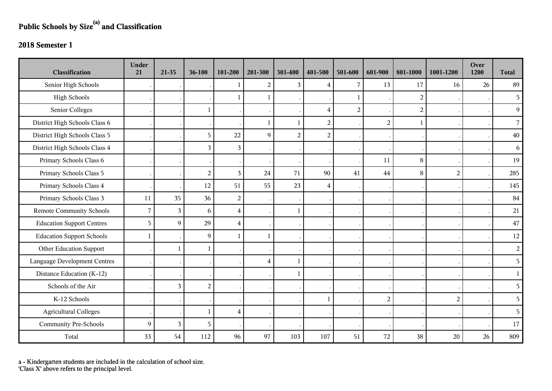## **Public Schools by Size(a) and Classification**

## **2018 Semester 1**

| Classification                      | <b>Under</b><br>21 | $21-35$        | 36-100         | 101-200        | 201-300        | 301-400        | 401-500        | 501-600        | 601-900        | 801-1000       | 1001-1200      | Over<br>1200 | <b>Total</b>   |
|-------------------------------------|--------------------|----------------|----------------|----------------|----------------|----------------|----------------|----------------|----------------|----------------|----------------|--------------|----------------|
| Senior High Schools                 |                    |                |                |                | $\overline{2}$ | 3              | 4              | 7              | 13             | 17             | 16             | 26           | 89             |
| <b>High Schools</b>                 |                    |                |                |                | 1              |                |                | $\mathbf{1}$   |                | $\overline{2}$ |                |              | 5              |
| Senior Colleges                     |                    |                | $\mathbf{1}$   |                |                |                | $\overline{4}$ | $\overline{2}$ |                | $\overline{c}$ |                |              | 9              |
| District High Schools Class 6       |                    |                |                |                | $\mathbf{1}$   | $\mathbf{1}$   | $\overline{2}$ |                | $\overline{2}$ | $\mathbf{1}$   |                |              | $\overline{7}$ |
| District High Schools Class 5       |                    |                | 5              | 22             | 9              | $\overline{2}$ | $\overline{c}$ |                |                |                |                |              | 40             |
| District High Schools Class 4       |                    |                | $\mathfrak{Z}$ | 3              |                |                |                |                |                |                |                |              | 6              |
| Primary Schools Class 6             |                    |                |                |                |                |                |                |                | 11             | 8              |                |              | 19             |
| Primary Schools Class 5             |                    |                | $\overline{2}$ | 3              | 24             | 71             | 90             | 41             | 44             | 8              | 2              |              | 285            |
| Primary Schools Class 4             |                    |                | 12             | 51             | 55             | 23             | $\overline{4}$ |                |                |                |                |              | 145            |
| Primary Schools Class 3             | 11                 | 35             | 36             | $\overline{c}$ |                |                |                |                |                |                |                |              | 84             |
| <b>Remote Community Schools</b>     | $\overline{7}$     | $\overline{3}$ | 6              | $\overline{4}$ |                | $\mathbf{1}$   |                |                |                |                |                |              | 21             |
| <b>Education Support Centres</b>    | 5                  | 9              | 29             | $\overline{4}$ |                |                |                |                |                |                |                |              | $47\,$         |
| <b>Education Support Schools</b>    | $\mathbf{1}$       |                | 9              | $\mathbf{1}$   | 1              |                |                |                |                |                |                |              | 12             |
| Other Education Support             |                    | $\mathbf{1}$   | $\,1\,$        |                |                |                |                |                |                |                |                |              | $\overline{a}$ |
| <b>Language Development Centres</b> |                    |                |                |                | $\overline{4}$ | $\mathbf{1}$   |                |                |                |                |                |              | 5              |
| Distance Education (K-12)           |                    |                |                |                |                |                |                |                |                |                |                |              | $\mathbf{1}$   |
| Schools of the Air                  |                    | 3              | $\overline{2}$ |                |                |                |                |                |                |                |                |              | 5              |
| K-12 Schools                        |                    |                |                |                |                |                | 1              |                | $\overline{2}$ |                | $\overline{2}$ |              | 5              |
| <b>Agricultural Colleges</b>        |                    |                | $\mathbf{1}$   | $\overline{4}$ |                |                |                |                |                |                |                |              | 5              |
| <b>Community Pre-Schools</b>        | 9                  | 3              | 5              |                |                |                |                |                |                |                |                |              | 17             |
| Total                               | 33                 | 54             | 112            | 96             | 97             | 103            | 107            | 51             | 72             | 38             | 20             | 26           | 809            |

a - Kindergarten students are included in the calculation of school size.

'Class X' above refers to the principal level.